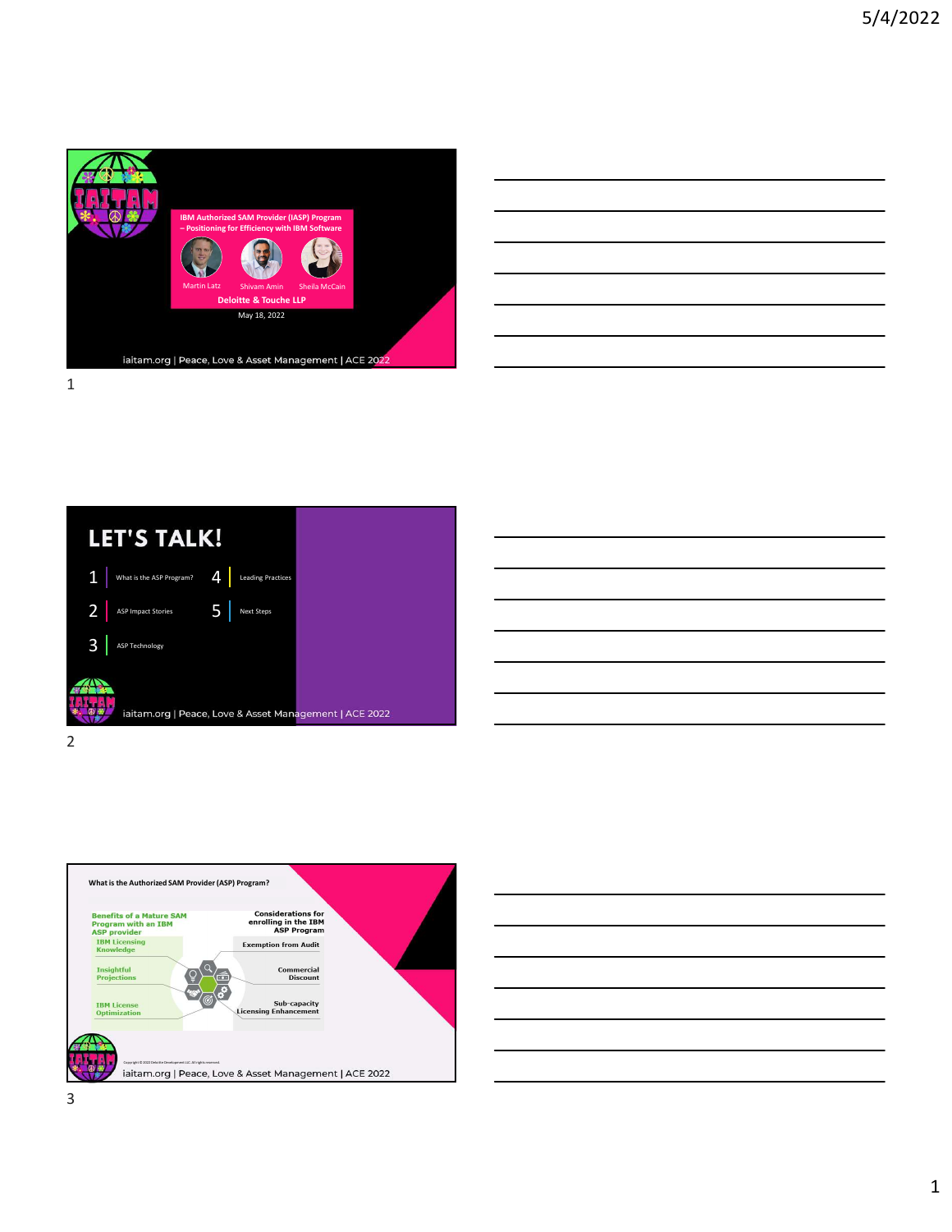









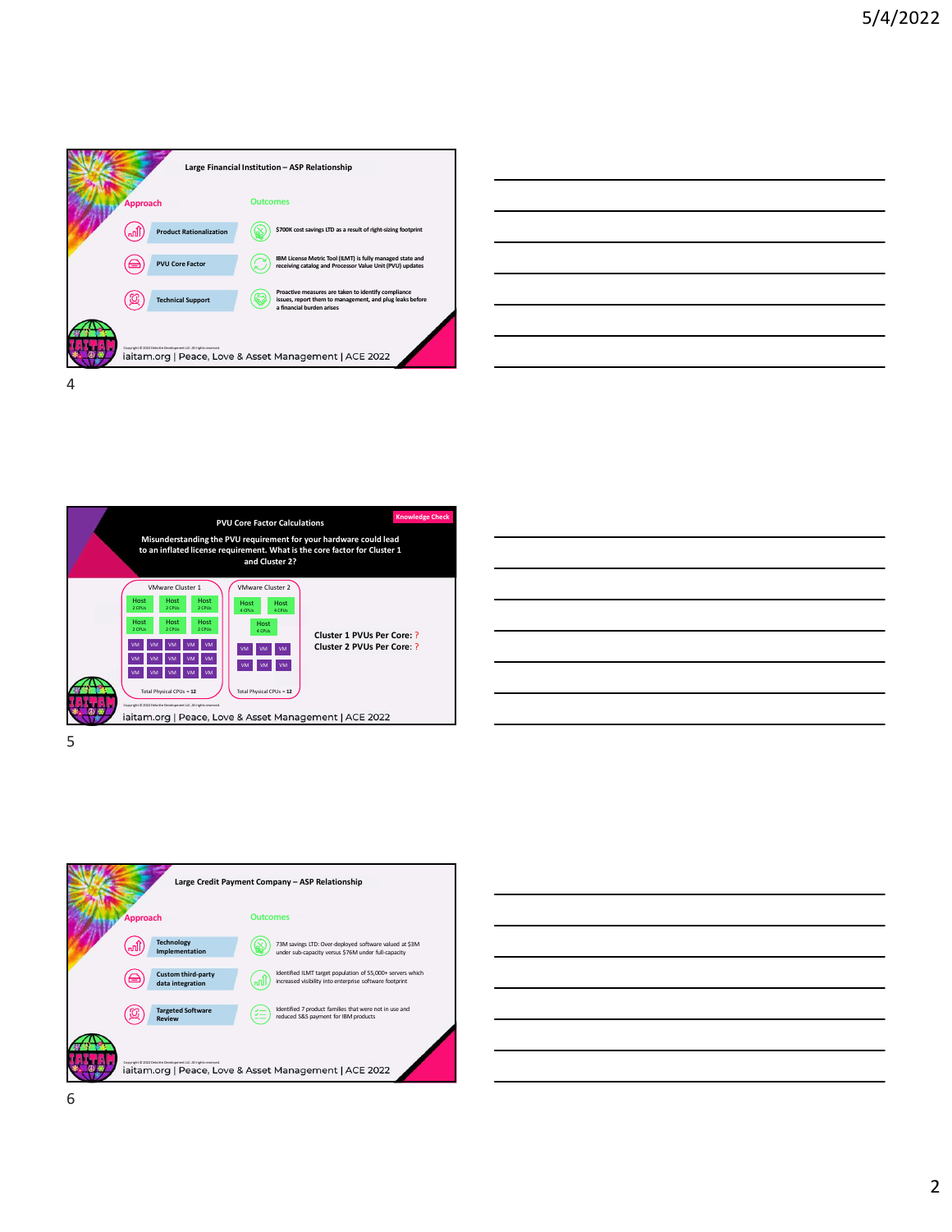







 $5<sub>2</sub>$ 



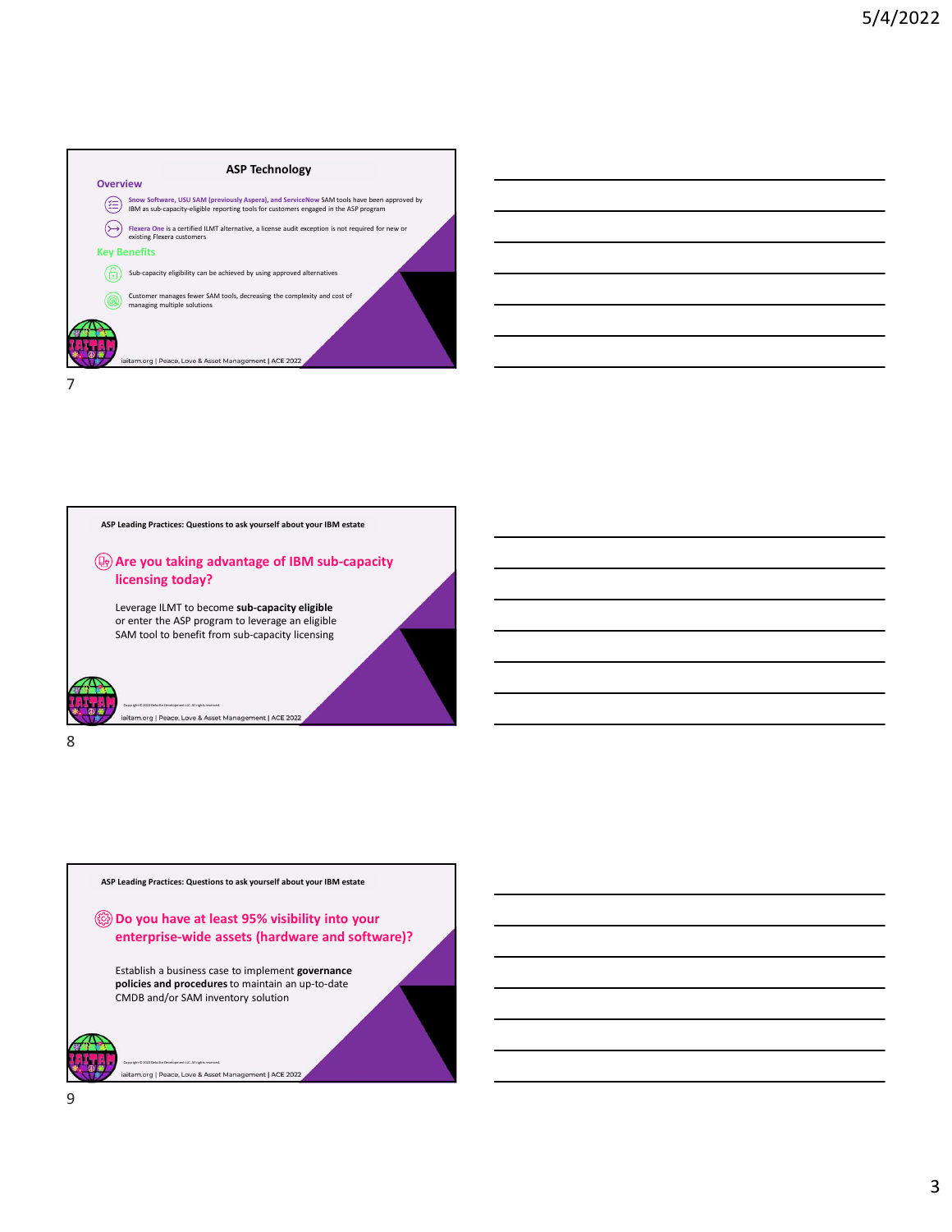



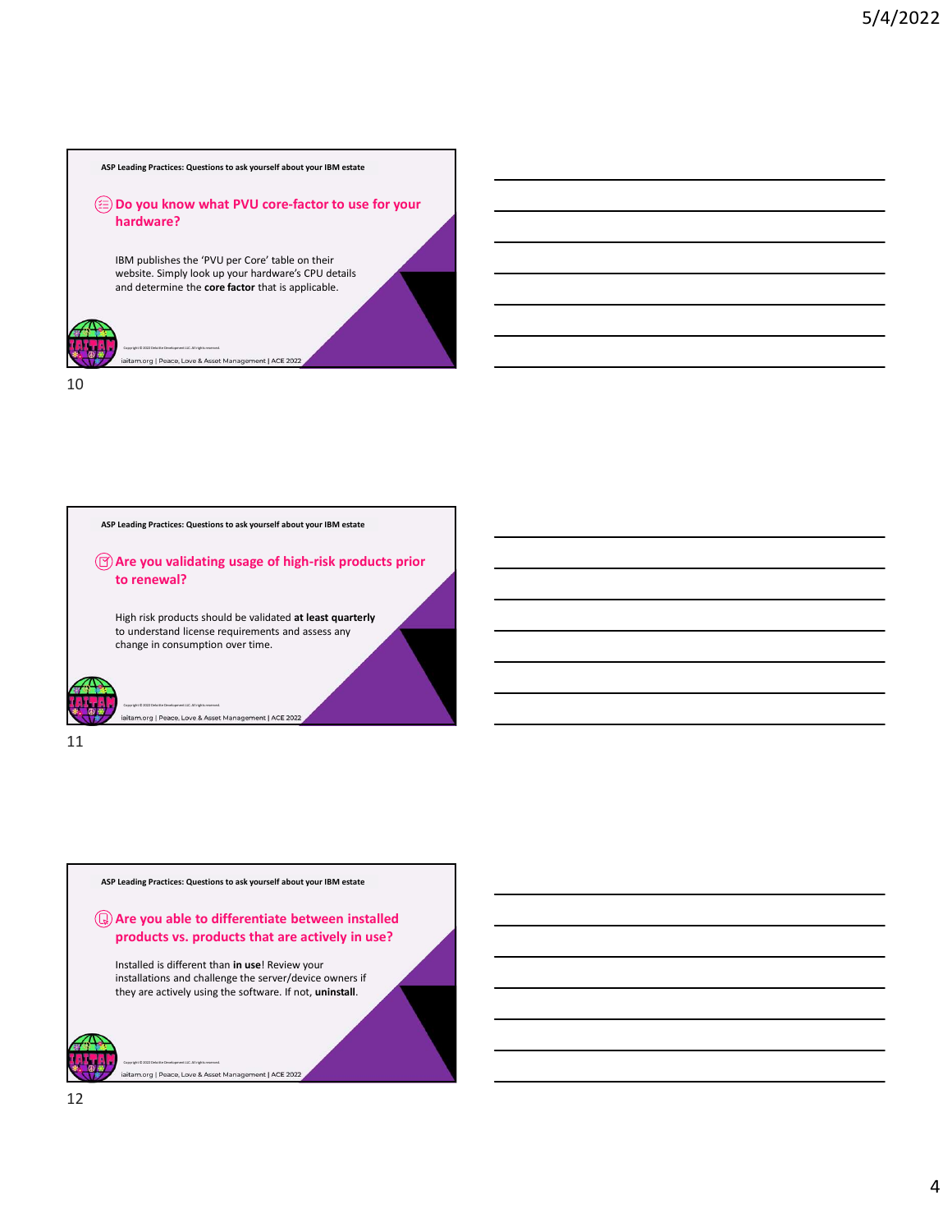



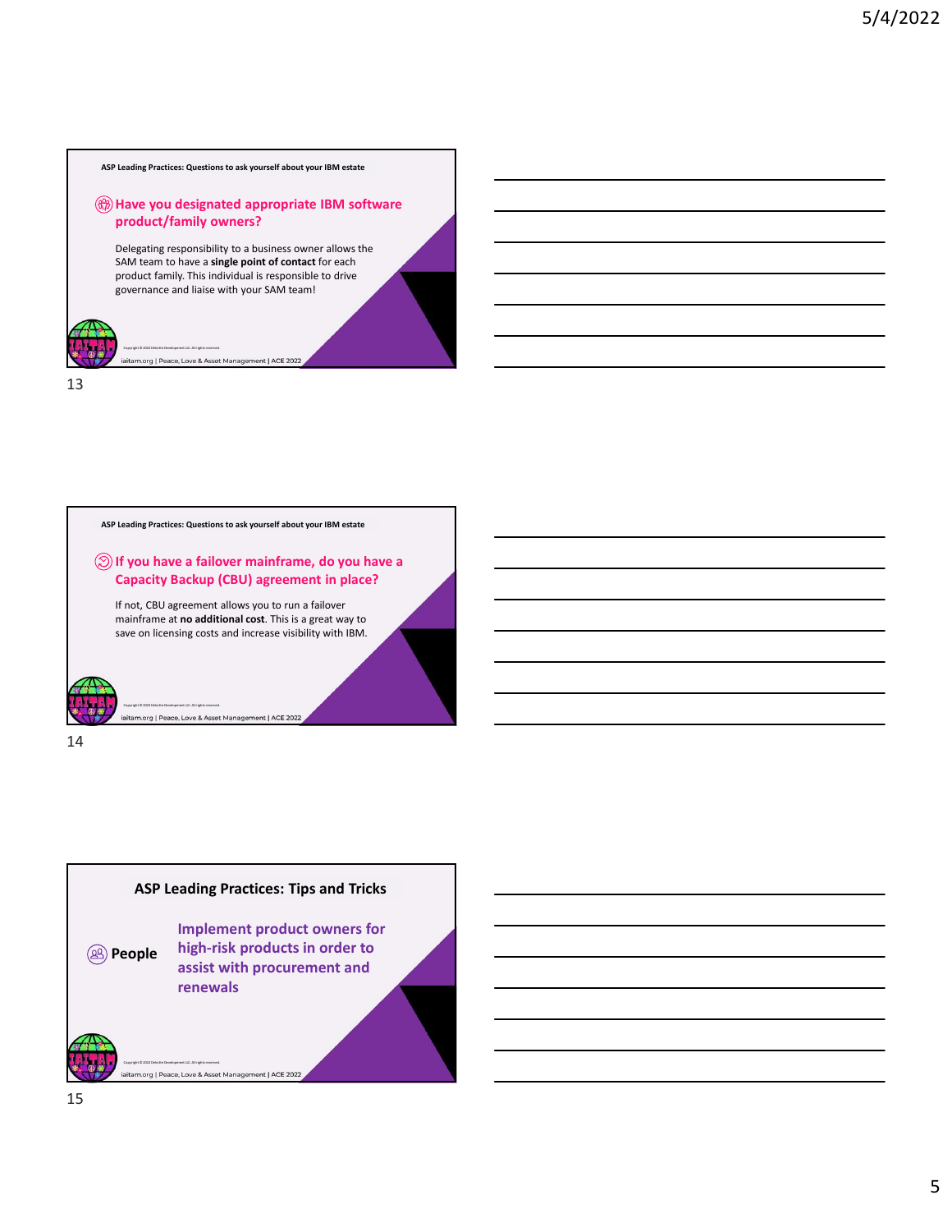ASP Leading Practices: Questions to ask yourself about your IBM estate

## product/family owners?

Have you designated appropriate IBM software<br>product/family owners?<br>Delegating responsibility to a business owner allows the<br>SAM team to have a single point of contact for each<br>product family. This individual is responsibl Delegating responsibility to a business owner allows the SAM team to have a single point of contact for each product family. This individual is responsible to drive governance and liaise with your SAM team!





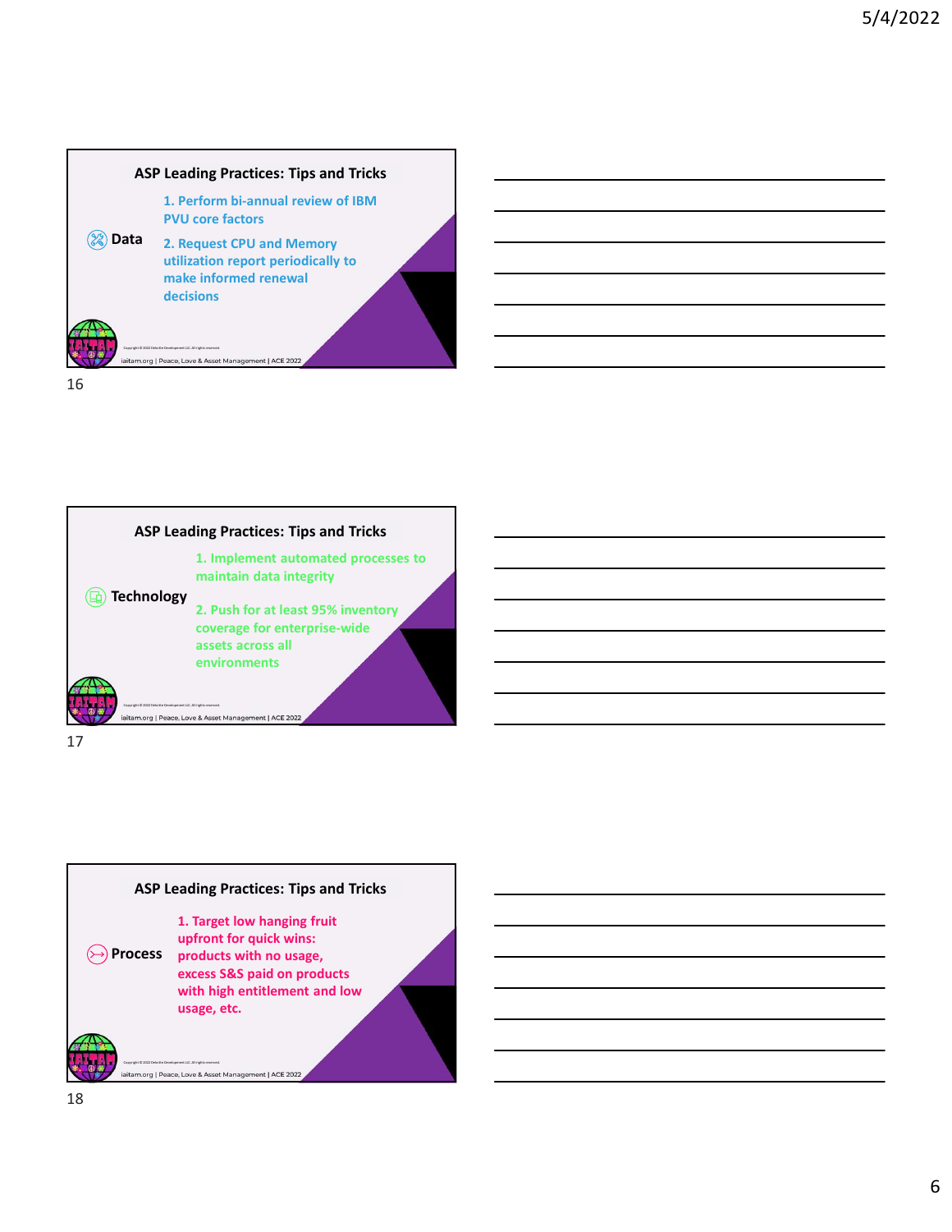



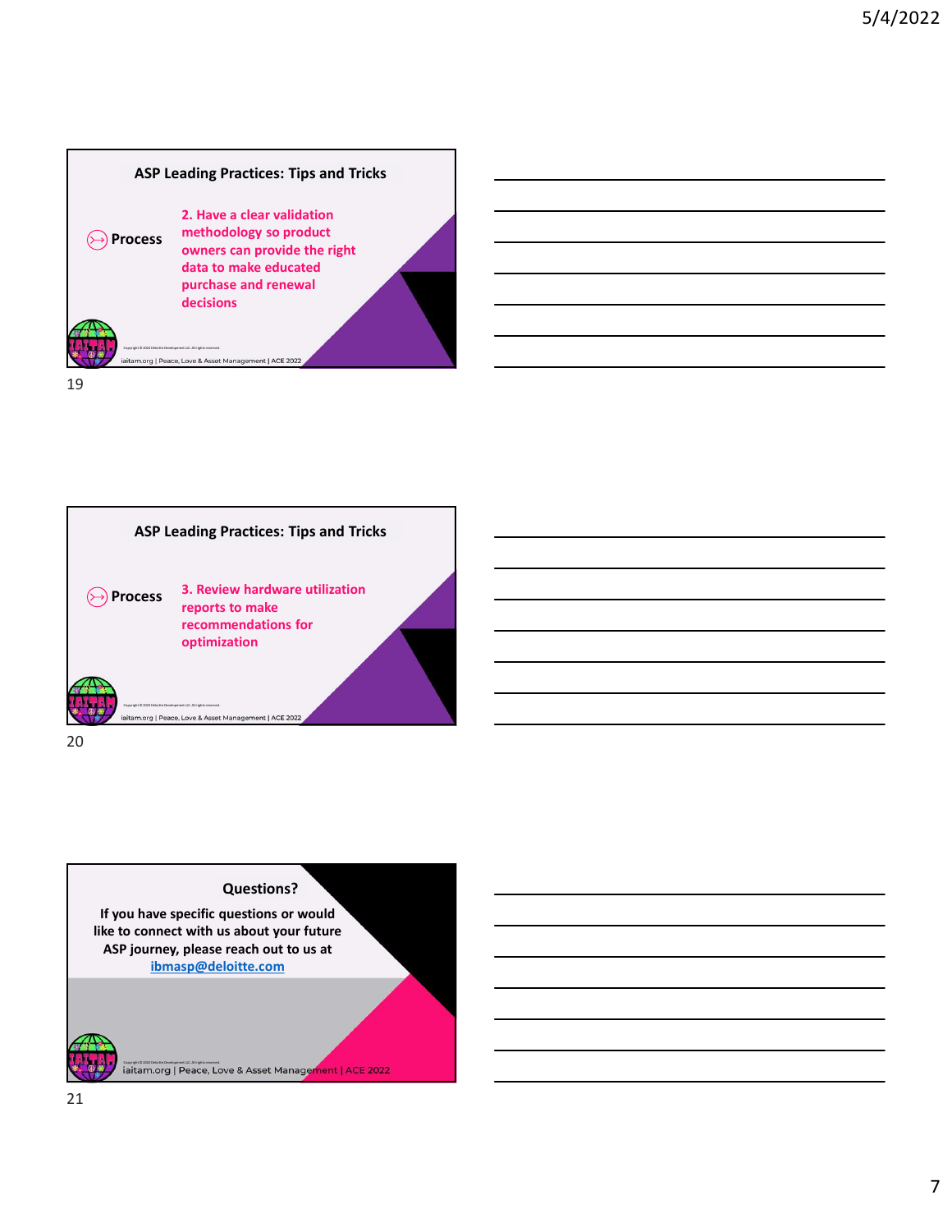



## Questions?

If you have specific questions or would like to connect with us about your future ASP journey, please reach out to us at ibmasp@deloitte.com

iaitam.org | Peace, Love & Asset Management | ACE 2022